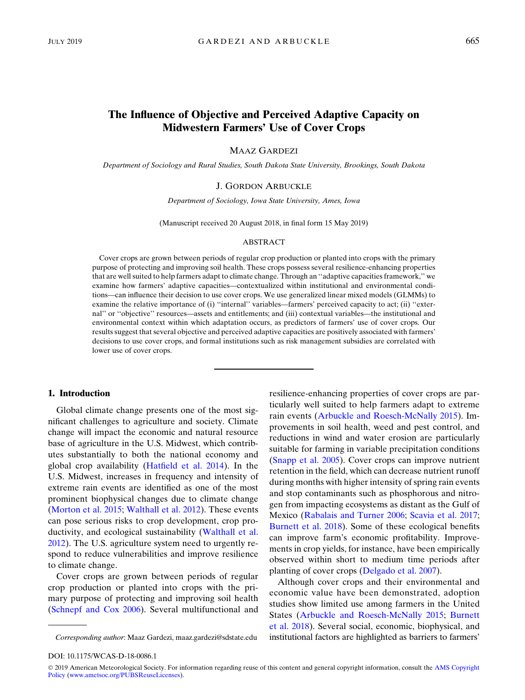# The Influence of Objective and Perceived Adaptive Capacity on Midwestern Farmers' Use of Cover Crops

## MAAZ GARDEZI

Department of Sociology and Rural Studies, South Dakota State University, Brookings, South Dakota

#### J. GORDON ARBUCKLE

Department of Sociology, Iowa State University, Ames, Iowa

(Manuscript received 20 August 2018, in final form 15 May 2019)

#### ABSTRACT

Cover crops are grown between periods of regular crop production or planted into crops with the primary purpose of protecting and improving soil health. These crops possess several resilience-enhancing properties that are well suited to help farmers adapt to climate change. Through an ''adaptive capacities framework,'' we examine how farmers' adaptive capacities—contextualized within institutional and environmental conditions—can influence their decision to use cover crops. We use generalized linear mixed models (GLMMs) to examine the relative importance of (i) ''internal'' variables—farmers' perceived capacity to act; (ii) ''external'' or "objective" resources—assets and entitlements; and (iii) contextual variables—the institutional and environmental context within which adaptation occurs, as predictors of farmers' use of cover crops. Our results suggest that several objective and perceived adaptive capacities are positively associated with farmers' decisions to use cover crops, and formal institutions such as risk management subsidies are correlated with lower use of cover crops.

## 1. Introduction

Global climate change presents one of the most significant challenges to agriculture and society. Climate change will impact the economic and natural resource base of agriculture in the U.S. Midwest, which contributes substantially to both the national economy and global crop availability [\(Hatfield et al. 2014\)](#page-13-0). In the U.S. Midwest, increases in frequency and intensity of extreme rain events are identified as one of the most prominent biophysical changes due to climate change [\(Morton et al. 2015;](#page-13-1) [Walthall et al. 2012\)](#page-14-0). These events can pose serious risks to crop development, crop productivity, and ecological sustainability ([Walthall et al.](#page-14-0) [2012\)](#page-14-0). The U.S. agriculture system need to urgently respond to reduce vulnerabilities and improve resilience to climate change.

Cover crops are grown between periods of regular crop production or planted into crops with the primary purpose of protecting and improving soil health [\(Schnepf and Cox 2006\)](#page-13-2). Several multifunctional and

resilience-enhancing properties of cover crops are particularly well suited to help farmers adapt to extreme rain events [\(Arbuckle and Roesch-McNally 2015](#page-12-0)). Improvements in soil health, weed and pest control, and reductions in wind and water erosion are particularly suitable for farming in variable precipitation conditions ([Snapp et al. 2005\)](#page-14-1). Cover crops can improve nutrient retention in the field, which can decrease nutrient runoff during months with higher intensity of spring rain events and stop contaminants such as phosphorous and nitrogen from impacting ecosystems as distant as the Gulf of Mexico [\(Rabalais and Turner 2006](#page-13-3); [Scavia et al. 2017;](#page-13-4) [Burnett et al. 2018](#page-12-1)). Some of these ecological benefits can improve farm's economic profitability. Improvements in crop yields, for instance, have been empirically observed within short to medium time periods after planting of cover crops ([Delgado et al. 2007](#page-12-2)).

Although cover crops and their environmental and economic value have been demonstrated, adoption studies show limited use among farmers in the United States ([Arbuckle and Roesch-McNally 2015](#page-12-0); [Burnett](#page-12-1) [et al. 2018](#page-12-1)). Several social, economic, biophysical, and Corresponding author: Maaz Gardezi, [maaz.gardezi@sdstate.edu](mailto:maaz.gardezi@sdstate.edu) institutional factors are highlighted as barriers to farmers'

DOI: 10.1175/WCAS-D-18-0086.1

2019 American Meteorological Society. For information regarding reuse of this content and general copyright information, consult the [AMS Copyright](http://www.ametsoc.org/PUBSReuseLicenses) [Policy](http://www.ametsoc.org/PUBSReuseLicenses) [\(www.ametsoc.org/PUBSReuseLicenses](http://www.ametsoc.org/PUBSReuseLicenses)).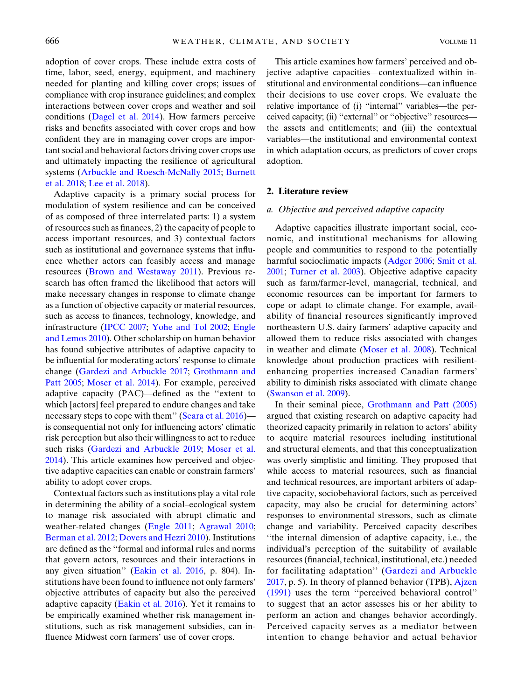adoption of cover crops. These include extra costs of time, labor, seed, energy, equipment, and machinery needed for planting and killing cover crops; issues of compliance with crop insurance guidelines; and complex interactions between cover crops and weather and soil conditions [\(Dagel et al. 2014](#page-12-3)). How farmers perceive risks and benefits associated with cover crops and how confident they are in managing cover crops are important social and behavioral factors driving cover crops use and ultimately impacting the resilience of agricultural systems [\(Arbuckle and Roesch-McNally 2015;](#page-12-0) [Burnett](#page-12-1) [et al. 2018;](#page-12-1) [Lee et al. 2018](#page-13-5)).

Adaptive capacity is a primary social process for modulation of system resilience and can be conceived of as composed of three interrelated parts: 1) a system of resources such as finances, 2) the capacity of people to access important resources, and 3) contextual factors such as institutional and governance systems that influence whether actors can feasibly access and manage resources ([Brown and Westaway 2011\)](#page-12-4). Previous research has often framed the likelihood that actors will make necessary changes in response to climate change as a function of objective capacity or material resources, such as access to finances, technology, knowledge, and infrastructure [\(IPCC 2007](#page-13-6); [Yohe and Tol 2002;](#page-14-2) [Engle](#page-13-7) [and Lemos 2010\)](#page-13-7). Other scholarship on human behavior has found subjective attributes of adaptive capacity to be influential for moderating actors' response to climate change [\(Gardezi and Arbuckle 2017;](#page-13-8) [Grothmann and](#page-13-9) [Patt 2005](#page-13-9); [Moser et al. 2014\)](#page-13-10). For example, perceived adaptive capacity (PAC)—defined as the ''extent to which [actors] feel prepared to endure changes and take necessary steps to cope with them" ([Seara et al. 2016\)](#page-13-11) is consequential not only for influencing actors' climatic risk perception but also their willingness to act to reduce such risks [\(Gardezi and Arbuckle 2019](#page-13-12); [Moser et al.](#page-13-10) [2014\)](#page-13-10). This article examines how perceived and objective adaptive capacities can enable or constrain farmers' ability to adopt cover crops.

Contextual factors such as institutions play a vital role in determining the ability of a social–ecological system to manage risk associated with abrupt climatic and weather-related changes ([Engle 2011;](#page-13-13) [Agrawal 2010;](#page-12-5) [Berman et al. 2012](#page-12-6); [Dovers and Hezri 2010\)](#page-13-14). Institutions are defined as the ''formal and informal rules and norms that govern actors, resources and their interactions in any given situation'' [\(Eakin et al. 2016,](#page-13-15) p. 804). Institutions have been found to influence not only farmers' objective attributes of capacity but also the perceived adaptive capacity [\(Eakin et al. 2016\)](#page-13-15). Yet it remains to be empirically examined whether risk management institutions, such as risk management subsidies, can influence Midwest corn farmers' use of cover crops.

This article examines how farmers' perceived and objective adaptive capacities—contextualized within institutional and environmental conditions—can influence their decisions to use cover crops. We evaluate the relative importance of (i) ''internal'' variables—the perceived capacity; (ii) ''external'' or ''objective'' resources the assets and entitlements; and (iii) the contextual variables—the institutional and environmental context in which adaptation occurs, as predictors of cover crops adoption.

## 2. Literature review

#### a. Objective and perceived adaptive capacity

Adaptive capacities illustrate important social, economic, and institutional mechanisms for allowing people and communities to respond to the potentially harmful socioclimatic impacts [\(Adger 2006;](#page-12-7) [Smit et al.](#page-14-3) [2001;](#page-14-3) [Turner et al. 2003](#page-14-4)). Objective adaptive capacity such as farm/farmer-level, managerial, technical, and economic resources can be important for farmers to cope or adapt to climate change. For example, availability of financial resources significantly improved northeastern U.S. dairy farmers' adaptive capacity and allowed them to reduce risks associated with changes in weather and climate [\(Moser et al. 2008\)](#page-13-16). Technical knowledge about production practices with resilientenhancing properties increased Canadian farmers' ability to diminish risks associated with climate change ([Swanson et al. 2009](#page-14-5)).

In their seminal piece, [Grothmann and Patt \(2005\)](#page-13-9) argued that existing research on adaptive capacity had theorized capacity primarily in relation to actors' ability to acquire material resources including institutional and structural elements, and that this conceptualization was overly simplistic and limiting. They proposed that while access to material resources, such as financial and technical resources, are important arbiters of adaptive capacity, sociobehavioral factors, such as perceived capacity, may also be crucial for determining actors' responses to environmental stressors, such as climate change and variability. Perceived capacity describes ''the internal dimension of adaptive capacity, i.e., the individual's perception of the suitability of available resources (financial, technical, institutional, etc.) needed for facilitating adaptation'' ([Gardezi and Arbuckle](#page-13-8) [2017,](#page-13-8) p. 5). In theory of planned behavior (TPB), [Ajzen](#page-12-8) [\(1991\)](#page-12-8) uses the term ''perceived behavioral control'' to suggest that an actor assesses his or her ability to perform an action and changes behavior accordingly. Perceived capacity serves as a mediator between intention to change behavior and actual behavior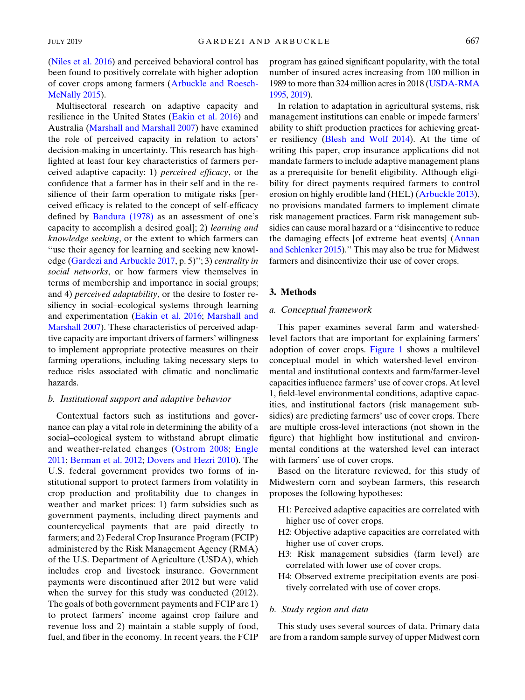[\(Niles et al. 2016\)](#page-13-17) and perceived behavioral control has been found to positively correlate with higher adoption of cover crops among farmers ([Arbuckle and Roesch-](#page-12-0)[McNally 2015\)](#page-12-0).

Multisectoral research on adaptive capacity and resilience in the United States ([Eakin et al. 2016\)](#page-13-15) and Australia [\(Marshall and Marshall 2007\)](#page-13-18) have examined the role of perceived capacity in relation to actors' decision-making in uncertainty. This research has highlighted at least four key characteristics of farmers perceived adaptive capacity: 1) perceived efficacy, or the confidence that a farmer has in their self and in the resilience of their farm operation to mitigate risks [perceived efficacy is related to the concept of self-efficacy defined by [Bandura \(1978\)](#page-12-9) as an assessment of one's capacity to accomplish a desired goal]; 2) learning and knowledge seeking, or the extent to which farmers can ''use their agency for learning and seeking new knowledge ([Gardezi and Arbuckle 2017](#page-13-8), p. 5)''; 3) centrality in social networks, or how farmers view themselves in terms of membership and importance in social groups; and 4) perceived adaptability, or the desire to foster resiliency in social–ecological systems through learning and experimentation ([Eakin et al. 2016;](#page-13-15) [Marshall and](#page-13-18) [Marshall 2007\)](#page-13-18). These characteristics of perceived adaptive capacity are important drivers of farmers' willingness to implement appropriate protective measures on their farming operations, including taking necessary steps to reduce risks associated with climatic and nonclimatic hazards.

## b. Institutional support and adaptive behavior

Contextual factors such as institutions and governance can play a vital role in determining the ability of a social–ecological system to withstand abrupt climatic and weather-related changes ([Ostrom 2008;](#page-13-19) [Engle](#page-13-13) [2011;](#page-13-13) [Berman et al. 2012;](#page-12-6) [Dovers and Hezri 2010\)](#page-13-14). The U.S. federal government provides two forms of institutional support to protect farmers from volatility in crop production and profitability due to changes in weather and market prices: 1) farm subsidies such as government payments, including direct payments and countercyclical payments that are paid directly to farmers; and 2) Federal Crop Insurance Program (FCIP) administered by the Risk Management Agency (RMA) of the U.S. Department of Agriculture (USDA), which includes crop and livestock insurance. Government payments were discontinued after 2012 but were valid when the survey for this study was conducted (2012). The goals of both government payments and FCIP are 1) to protect farmers' income against crop failure and revenue loss and 2) maintain a stable supply of food, fuel, and fiber in the economy. In recent years, the FCIP program has gained significant popularity, with the total number of insured acres increasing from 100 million in 1989 to more than 324 million acres in 2018 [\(USDA-RMA](#page-14-6) [1995](#page-14-6), [2019\)](#page-14-7).

In relation to adaptation in agricultural systems, risk management institutions can enable or impede farmers' ability to shift production practices for achieving greater resiliency [\(Blesh and Wolf 2014\)](#page-12-10). At the time of writing this paper, crop insurance applications did not mandate farmers to include adaptive management plans as a prerequisite for benefit eligibility. Although eligibility for direct payments required farmers to control erosion on highly erodible land (HEL) [\(Arbuckle 2013](#page-12-11)), no provisions mandated farmers to implement climate risk management practices. Farm risk management subsidies can cause moral hazard or a ''disincentive to reduce the damaging effects [of extreme heat events] [\(Annan](#page-12-12) [and Schlenker 2015\)](#page-12-12).'' This may also be true for Midwest farmers and disincentivize their use of cover crops.

## 3. Methods

#### a. Conceptual framework

This paper examines several farm and watershedlevel factors that are important for explaining farmers' adoption of cover crops. [Figure 1](#page-3-0) shows a multilevel conceptual model in which watershed-level environmental and institutional contexts and farm/farmer-level capacities influence farmers' use of cover crops. At level 1, field-level environmental conditions, adaptive capacities, and institutional factors (risk management subsidies) are predicting farmers' use of cover crops. There are multiple cross-level interactions (not shown in the figure) that highlight how institutional and environmental conditions at the watershed level can interact with farmers' use of cover crops.

Based on the literature reviewed, for this study of Midwestern corn and soybean farmers, this research proposes the following hypotheses:

- H1: Perceived adaptive capacities are correlated with higher use of cover crops.
- H2: Objective adaptive capacities are correlated with higher use of cover crops.
- H3: Risk management subsidies (farm level) are correlated with lower use of cover crops.
- H4: Observed extreme precipitation events are positively correlated with use of cover crops.

## b. Study region and data

This study uses several sources of data. Primary data are from a random sample survey of upper Midwest corn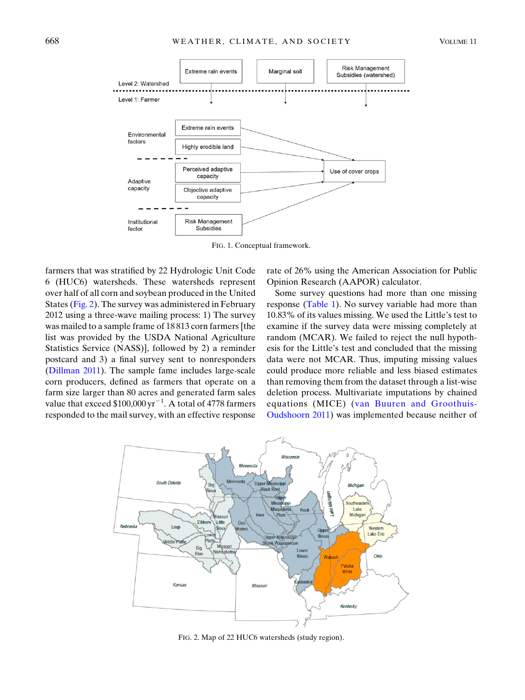<span id="page-3-0"></span>

FIG. 1. Conceptual framework.

farmers that was stratified by 22 Hydrologic Unit Code 6 (HUC6) watersheds. These watersheds represent over half of all corn and soybean produced in the United States [\(Fig. 2](#page-3-1)). The survey was administered in February 2012 using a three-wave mailing process: 1) The survey was mailed to a sample frame of 18 813 corn farmers [the list was provided by the USDA National Agriculture Statistics Service (NASS)], followed by 2) a reminder postcard and 3) a final survey sent to nonresponders ([Dillman 2011\)](#page-13-20). The sample fame includes large-scale corn producers, defined as farmers that operate on a farm size larger than 80 acres and generated farm sales value that exceed  $$100,000\,\mathrm{yr}^{-1}$ . A total of 4778 farmers responded to the mail survey, with an effective response

rate of 26% using the American Association for Public Opinion Research (AAPOR) calculator.

Some survey questions had more than one missing response ([Table 1\)](#page-4-0). No survey variable had more than 10.83% of its values missing. We used the Little's test to examine if the survey data were missing completely at random (MCAR). We failed to reject the null hypothesis for the Little's test and concluded that the missing data were not MCAR. Thus, imputing missing values could produce more reliable and less biased estimates than removing them from the dataset through a list-wise deletion process. Multivariate imputations by chained equations (MICE) ([van Buuren and Groothuis-](#page-14-8)[Oudshoorn 2011\)](#page-14-8) was implemented because neither of

<span id="page-3-1"></span>

FIG. 2. Map of 22 HUC6 watersheds (study region).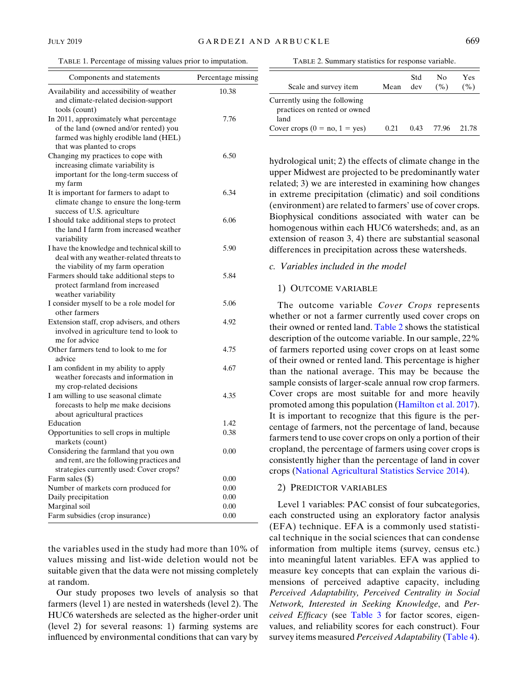<span id="page-4-0"></span>TABLE 1. Percentage of missing values prior to imputation.

| Components and statements                                                                                                                      | Percentage missing |
|------------------------------------------------------------------------------------------------------------------------------------------------|--------------------|
| Availability and accessibility of weather<br>and climate-related decision-support                                                              | 10.38              |
| tools (count)<br>In 2011, approximately what percentage<br>of the land (owned and/or rented) you<br>farmed was highly erodible land (HEL)      | 7.76               |
| that was planted to crops<br>Changing my practices to cope with<br>increasing climate variability is<br>important for the long-term success of | 6.50               |
| my farm<br>It is important for farmers to adapt to<br>climate change to ensure the long-term<br>success of U.S. agriculture                    | 6.34               |
| I should take additional steps to protect<br>the land I farm from increased weather<br>variability                                             | 6.06               |
| I have the knowledge and technical skill to<br>deal with any weather-related threats to<br>the viability of my farm operation                  | 5.90               |
| Farmers should take additional steps to<br>protect farmland from increased<br>weather variability                                              | 5.84               |
| I consider myself to be a role model for<br>other farmers                                                                                      | 5.06               |
| Extension staff, crop advisers, and others<br>involved in agriculture tend to look to<br>me for advice                                         | 4.92               |
| Other farmers tend to look to me for<br>advice                                                                                                 | 4.75               |
| I am confident in my ability to apply<br>weather forecasts and information in<br>my crop-related decisions                                     | 4.67               |
| I am willing to use seasonal climate<br>forecasts to help me make decisions<br>about agricultural practices                                    | 4.35               |
| Education                                                                                                                                      | 1.42               |
| Opportunities to sell crops in multiple<br>markets (count)                                                                                     | 0.38               |
| Considering the farmland that you own<br>and rent, are the following practices and<br>strategies currently used: Cover crops?                  | 0.00               |
| Farm sales (\$)                                                                                                                                | 0.00               |
| Number of markets corn produced for                                                                                                            | 0.00               |
| Daily precipitation                                                                                                                            | 0.00               |
| Marginal soil                                                                                                                                  | 0.00               |
| Farm subsidies (crop insurance)                                                                                                                | 0.00               |

the variables used in the study had more than 10% of values missing and list-wide deletion would not be suitable given that the data were not missing completely at random.

Our study proposes two levels of analysis so that farmers (level 1) are nested in watersheds (level 2). The HUC6 watersheds are selected as the higher-order unit (level 2) for several reasons: 1) farming systems are influenced by environmental conditions that can vary by

TABLE 2. Summary statistics for response variable.

<span id="page-4-1"></span>

| Scale and survey item                                                 | Mean | Std<br>dev | Nο<br>(% ) | Yes<br>(% ) |
|-----------------------------------------------------------------------|------|------------|------------|-------------|
| Currently using the following<br>practices on rented or owned<br>land |      |            |            |             |
| Cover crops $(0 = no, 1 = yes)$                                       | 0.21 | 0.43       | 77.96      | 21.78       |

hydrological unit; 2) the effects of climate change in the upper Midwest are projected to be predominantly water related; 3) we are interested in examining how changes in extreme precipitation (climatic) and soil conditions (environment) are related to farmers' use of cover crops. Biophysical conditions associated with water can be homogenous within each HUC6 watersheds; and, as an extension of reason 3, 4) there are substantial seasonal differences in precipitation across these watersheds.

## c. Variables included in the model

#### 1) OUTCOME VARIABLE

The outcome variable Cover Crops represents whether or not a farmer currently used cover crops on their owned or rented land. [Table 2](#page-4-1) shows the statistical description of the outcome variable. In our sample, 22% of farmers reported using cover crops on at least some of their owned or rented land. This percentage is higher than the national average. This may be because the sample consists of larger-scale annual row crop farmers. Cover crops are most suitable for and more heavily promoted among this population ([Hamilton et al. 2017](#page-13-21)). It is important to recognize that this figure is the percentage of farmers, not the percentage of land, because farmers tend to use cover crops on only a portion of their cropland, the percentage of farmers using cover crops is consistently higher than the percentage of land in cover crops [\(National Agricultural Statistics Service 2014](#page-13-22)).

#### 2) PREDICTOR VARIABLES

Level 1 variables: PAC consist of four subcategories, each constructed using an exploratory factor analysis (EFA) technique. EFA is a commonly used statistical technique in the social sciences that can condense information from multiple items (survey, census etc.) into meaningful latent variables. EFA was applied to measure key concepts that can explain the various dimensions of perceived adaptive capacity, including Perceived Adaptability, Perceived Centrality in Social Network, Interested in Seeking Knowledge, and Perceived Efficacy (see [Table 3](#page-5-0) for factor scores, eigenvalues, and reliability scores for each construct). Four survey items measured *Perceived Adaptability* ([Table 4](#page-6-0)).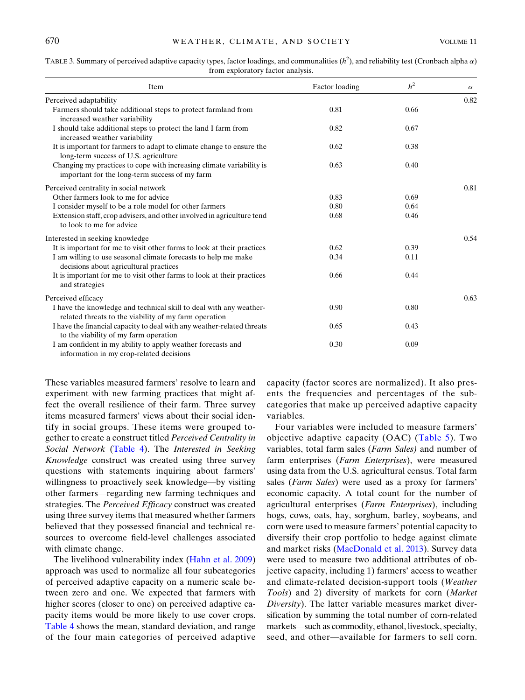<span id="page-5-0"></span>

| TABLE 3. Summary of perceived adaptive capacity types, factor loadings, and communalities $(h^2)$ , and reliability test (Cronbach alpha $\alpha$ ) |
|-----------------------------------------------------------------------------------------------------------------------------------------------------|
| from exploratory factor analysis.                                                                                                                   |

| Item                                                                                                                        | Factor loading | h <sup>2</sup> | $\alpha$ |
|-----------------------------------------------------------------------------------------------------------------------------|----------------|----------------|----------|
| Perceived adaptability                                                                                                      |                |                | 0.82     |
| Farmers should take additional steps to protect farmland from<br>increased weather variability                              | 0.81           | 0.66           |          |
| I should take additional steps to protect the land I farm from<br>increased weather variability                             | 0.82           | 0.67           |          |
| It is important for farmers to adapt to climate change to ensure the<br>long-term success of U.S. agriculture               | 0.62           | 0.38           |          |
| Changing my practices to cope with increasing climate variability is<br>important for the long-term success of my farm      | 0.63           | 0.40           |          |
| Perceived centrality in social network                                                                                      |                |                | 0.81     |
| Other farmers look to me for advice                                                                                         | 0.83           | 0.69           |          |
| I consider myself to be a role model for other farmers                                                                      | 0.80           | 0.64           |          |
| Extension staff, crop advisers, and other involved in agriculture tend<br>to look to me for advice                          | 0.68           | 0.46           |          |
| Interested in seeking knowledge                                                                                             |                |                | 0.54     |
| It is important for me to visit other farms to look at their practices                                                      | 0.62           | 0.39           |          |
| I am willing to use seasonal climate forecasts to help me make<br>decisions about agricultural practices                    | 0.34           | 0.11           |          |
| It is important for me to visit other farms to look at their practices<br>and strategies                                    | 0.66           | 0.44           |          |
| Perceived efficacy                                                                                                          |                |                | 0.63     |
| I have the knowledge and technical skill to deal with any weather-<br>related threats to the viability of my farm operation | 0.90           | 0.80           |          |
| I have the financial capacity to deal with any weather-related threats<br>to the viability of my farm operation             | 0.65           | 0.43           |          |
| I am confident in my ability to apply weather forecasts and<br>information in my crop-related decisions                     | 0.30           | 0.09           |          |

These variables measured farmers' resolve to learn and experiment with new farming practices that might affect the overall resilience of their farm. Three survey items measured farmers' views about their social identify in social groups. These items were grouped together to create a construct titled Perceived Centrality in Social Network [\(Table 4\)](#page-6-0). The Interested in Seeking Knowledge construct was created using three survey questions with statements inquiring about farmers' willingness to proactively seek knowledge—by visiting other farmers—regarding new farming techniques and strategies. The Perceived Efficacy construct was created using three survey items that measured whether farmers believed that they possessed financial and technical resources to overcome field-level challenges associated with climate change.

The livelihood vulnerability index [\(Hahn et al. 2009](#page-13-23)) approach was used to normalize all four subcategories of perceived adaptive capacity on a numeric scale between zero and one. We expected that farmers with higher scores (closer to one) on perceived adaptive capacity items would be more likely to use cover crops. [Table 4](#page-6-0) shows the mean, standard deviation, and range of the four main categories of perceived adaptive

capacity (factor scores are normalized). It also presents the frequencies and percentages of the subcategories that make up perceived adaptive capacity variables.

Four variables were included to measure farmers' objective adaptive capacity (OAC) ([Table 5\)](#page-7-0). Two variables, total farm sales (Farm Sales) and number of farm enterprises (Farm Enterprises), were measured using data from the U.S. agricultural census. Total farm sales (Farm Sales) were used as a proxy for farmers' economic capacity. A total count for the number of agricultural enterprises (Farm Enterprises), including hogs, cows, oats, hay, sorghum, barley, soybeans, and corn were used to measure farmers' potential capacity to diversify their crop portfolio to hedge against climate and market risks ([MacDonald et al. 2013](#page-13-24)). Survey data were used to measure two additional attributes of objective capacity, including 1) farmers' access to weather and climate-related decision-support tools (Weather Tools) and 2) diversity of markets for corn (Market Diversity). The latter variable measures market diversification by summing the total number of corn-related markets—such as commodity, ethanol, livestock, specialty, seed, and other—available for farmers to sell corn.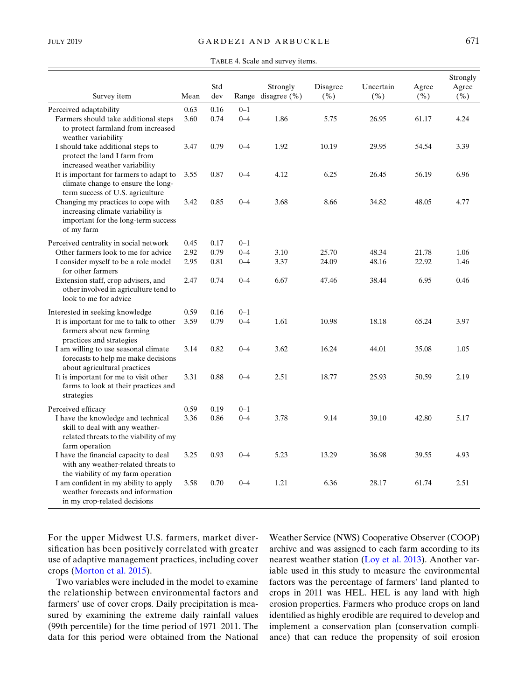TABLE 4. Scale and survey items.

<span id="page-6-0"></span>

| Survey item                                                                                                                       | Mean         | Std<br>dev   |                    | Strongly<br>Range disagree $(\% )$ | Disagree<br>(%) | Uncertain<br>(% ) | Agree<br>( %) | Strongly<br>Agree<br>( %) |
|-----------------------------------------------------------------------------------------------------------------------------------|--------------|--------------|--------------------|------------------------------------|-----------------|-------------------|---------------|---------------------------|
| Perceived adaptability<br>Farmers should take additional steps                                                                    | 0.63<br>3.60 | 0.16<br>0.74 | $0 - 1$<br>$0 - 4$ | 1.86                               | 5.75            | 26.95             | 61.17         | 4.24                      |
| to protect farmland from increased<br>weather variability                                                                         |              |              |                    |                                    |                 |                   |               |                           |
| I should take additional steps to<br>protect the land I farm from<br>increased weather variability                                | 3.47         | 0.79         | $0 - 4$            | 1.92                               | 10.19           | 29.95             | 54.54         | 3.39                      |
| It is important for farmers to adapt to<br>climate change to ensure the long-<br>term success of U.S. agriculture                 | 3.55         | 0.87         | $0 - 4$            | 4.12                               | 6.25            | 26.45             | 56.19         | 6.96                      |
| Changing my practices to cope with<br>increasing climate variability is<br>important for the long-term success<br>of my farm      | 3.42         | 0.85         | $0 - 4$            | 3.68                               | 8.66            | 34.82             | 48.05         | 4.77                      |
| Perceived centrality in social network                                                                                            | 0.45         | 0.17         | $0 - 1$            |                                    |                 |                   |               |                           |
| Other farmers look to me for advice                                                                                               | 2.92         | 0.79         | $0 - 4$            | 3.10                               | 25.70           | 48.34             | 21.78         | 1.06                      |
| I consider myself to be a role model<br>for other farmers                                                                         | 2.95         | 0.81         | $0 - 4$            | 3.37                               | 24.09           | 48.16             | 22.92         | 1.46                      |
| Extension staff, crop advisers, and<br>other involved in agriculture tend to<br>look to me for advice                             | 2.47         | 0.74         | $0 - 4$            | 6.67                               | 47.46           | 38.44             | 6.95          | 0.46                      |
| Interested in seeking knowledge                                                                                                   | 0.59         | 0.16         | $0 - 1$            |                                    |                 |                   |               |                           |
| It is important for me to talk to other<br>farmers about new farming<br>practices and strategies                                  | 3.59         | 0.79         | $0 - 4$            | 1.61                               | 10.98           | 18.18             | 65.24         | 3.97                      |
| I am willing to use seasonal climate<br>forecasts to help me make decisions<br>about agricultural practices                       | 3.14         | 0.82         | $0 - 4$            | 3.62                               | 16.24           | 44.01             | 35.08         | 1.05                      |
| It is important for me to visit other<br>farms to look at their practices and<br>strategies                                       | 3.31         | 0.88         | $0 - 4$            | 2.51                               | 18.77           | 25.93             | 50.59         | 2.19                      |
| Perceived efficacy                                                                                                                | 0.59         | 0.19         | $0 - 1$            |                                    |                 |                   |               |                           |
| I have the knowledge and technical<br>skill to deal with any weather-<br>related threats to the viability of my<br>farm operation | 3.36         | 0.86         | $0 - 4$            | 3.78                               | 9.14            | 39.10             | 42.80         | 5.17                      |
| I have the financial capacity to deal<br>with any weather-related threats to<br>the viability of my farm operation                | 3.25         | 0.93         | $0 - 4$            | 5.23                               | 13.29           | 36.98             | 39.55         | 4.93                      |
| I am confident in my ability to apply<br>weather forecasts and information<br>in my crop-related decisions                        | 3.58         | 0.70         | $0 - 4$            | 1.21                               | 6.36            | 28.17             | 61.74         | 2.51                      |

For the upper Midwest U.S. farmers, market diversification has been positively correlated with greater use of adaptive management practices, including cover crops ([Morton et al. 2015](#page-13-1)).

Two variables were included in the model to examine the relationship between environmental factors and farmers' use of cover crops. Daily precipitation is measured by examining the extreme daily rainfall values (99th percentile) for the time period of 1971–2011. The data for this period were obtained from the National

Weather Service (NWS) Cooperative Observer (COOP) archive and was assigned to each farm according to its nearest weather station ([Loy et al. 2013](#page-13-25)). Another variable used in this study to measure the environmental factors was the percentage of farmers' land planted to crops in 2011 was HEL. HEL is any land with high erosion properties. Farmers who produce crops on land identified as highly erodible are required to develop and implement a conservation plan (conservation compliance) that can reduce the propensity of soil erosion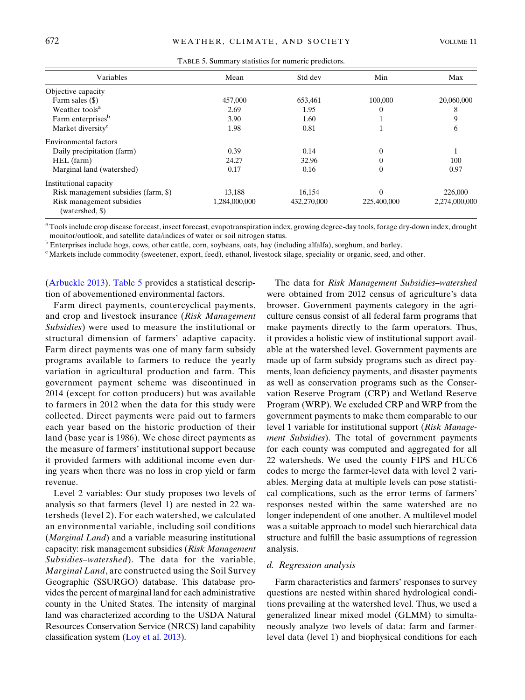<span id="page-7-0"></span>

| Variables                                    | Mean          | Std dev     | Min            | Max           |
|----------------------------------------------|---------------|-------------|----------------|---------------|
| Objective capacity                           |               |             |                |               |
| Farm sales $(\$)$                            | 457,000       | 653,461     | 100,000        | 20,060,000    |
| Weather tools <sup>a</sup>                   | 2.69          | 1.95        | $\overline{0}$ | 8             |
| Farm enterprises <sup>b</sup>                | 3.90          | 1.60        |                |               |
| Market diversity <sup>c</sup>                | 1.98          | 0.81        |                | 6             |
| Environmental factors                        |               |             |                |               |
| Daily precipitation (farm)                   | 0.39          | 0.14        | $\overline{0}$ |               |
| HEL (farm)                                   | 24.27         | 32.96       | $\Omega$       | 100           |
| Marginal land (watershed)                    | 0.17          | 0.16        | $\theta$       | 0.97          |
| Institutional capacity                       |               |             |                |               |
| Risk management subsidies (farm, \$)         | 13,188        | 16.154      | $\overline{0}$ | 226,000       |
| Risk management subsidies<br>(watershed, \$) | 1.284.000.000 | 432,270,000 | 225,400,000    | 2,274,000,000 |

TABLE 5. Summary statistics for numeric predictors.

<sup>a</sup> Tools include crop disease forecast, insect forecast, evapotranspiration index, growing degree-day tools, forage dry-down index, drought monitor/outlook, and satellite data/indices of water or soil nitrogen status.

 $<sup>b</sup>$  Enterprises include hogs, cows, other cattle, corn, soybeans, oats, hay (including alfalfa), sorghum, and barley.</sup>

 $\textdegree$  Markets include commodity (sweetener, export, feed), ethanol, livestock silage, speciality or organic, seed, and other.

([Arbuckle 2013](#page-12-11)). [Table 5](#page-7-0) provides a statistical description of abovementioned environmental factors.

Farm direct payments, countercyclical payments, and crop and livestock insurance (Risk Management Subsidies) were used to measure the institutional or structural dimension of farmers' adaptive capacity. Farm direct payments was one of many farm subsidy programs available to farmers to reduce the yearly variation in agricultural production and farm. This government payment scheme was discontinued in 2014 (except for cotton producers) but was available to farmers in 2012 when the data for this study were collected. Direct payments were paid out to farmers each year based on the historic production of their land (base year is 1986). We chose direct payments as the measure of farmers' institutional support because it provided farmers with additional income even during years when there was no loss in crop yield or farm revenue.

Level 2 variables: Our study proposes two levels of analysis so that farmers (level 1) are nested in 22 watersheds (level 2). For each watershed, we calculated an environmental variable, including soil conditions (Marginal Land) and a variable measuring institutional capacity: risk management subsidies (Risk Management Subsidies–watershed). The data for the variable, Marginal Land, are constructed using the Soil Survey Geographic (SSURGO) database. This database provides the percent of marginal land for each administrative county in the United States. The intensity of marginal land was characterized according to the USDA Natural Resources Conservation Service (NRCS) land capability classification system ([Loy et al. 2013](#page-13-25)).

The data for Risk Management Subsidies–watershed were obtained from 2012 census of agriculture's data browser. Government payments category in the agriculture census consist of all federal farm programs that make payments directly to the farm operators. Thus, it provides a holistic view of institutional support available at the watershed level. Government payments are made up of farm subsidy programs such as direct payments, loan deficiency payments, and disaster payments as well as conservation programs such as the Conservation Reserve Program (CRP) and Wetland Reserve Program (WRP). We excluded CRP and WRP from the government payments to make them comparable to our level 1 variable for institutional support (Risk Management Subsidies). The total of government payments for each county was computed and aggregated for all 22 watersheds. We used the county FIPS and HUC6 codes to merge the farmer-level data with level 2 variables. Merging data at multiple levels can pose statistical complications, such as the error terms of farmers' responses nested within the same watershed are no longer independent of one another. A multilevel model was a suitable approach to model such hierarchical data structure and fulfill the basic assumptions of regression analysis.

## d. Regression analysis

Farm characteristics and farmers' responses to survey questions are nested within shared hydrological conditions prevailing at the watershed level. Thus, we used a generalized linear mixed model (GLMM) to simultaneously analyze two levels of data: farm and farmerlevel data (level 1) and biophysical conditions for each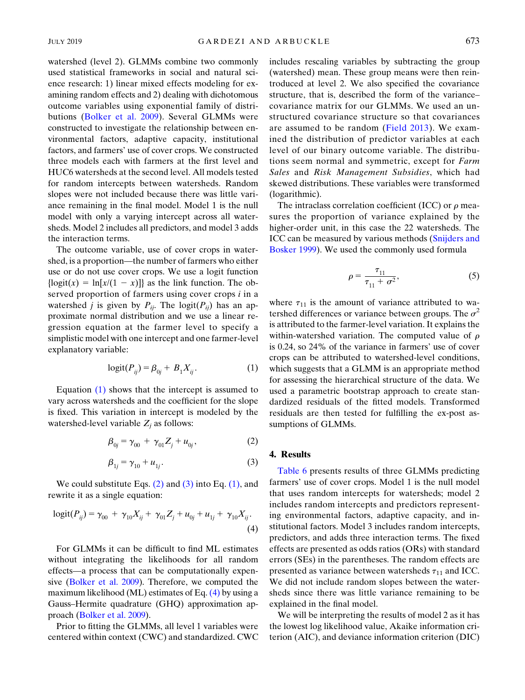watershed (level 2). GLMMs combine two commonly used statistical frameworks in social and natural science research: 1) linear mixed effects modeling for examining random effects and 2) dealing with dichotomous outcome variables using exponential family of distributions [\(Bolker et al. 2009](#page-12-13)). Several GLMMs were constructed to investigate the relationship between environmental factors, adaptive capacity, institutional factors, and farmers' use of cover crops. We constructed three models each with farmers at the first level and HUC6 watersheds at the second level. All models tested for random intercepts between watersheds. Random slopes were not included because there was little variance remaining in the final model. Model 1 is the null model with only a varying intercept across all watersheds. Model 2 includes all predictors, and model 3 adds the interaction terms.

The outcome variable, use of cover crops in watershed, is a proportion—the number of farmers who either use or do not use cover crops. We use a logit function  $\{logit(x) = ln[x/(1 - x)]\}$  as the link function. The observed proportion of farmers using cover crops *i* in a watershed *j* is given by  $P_{ij}$ . The logit( $P_{ij}$ ) has an approximate normal distribution and we use a linear regression equation at the farmer level to specify a simplistic model with one intercept and one farmer-level explanatory variable:

$$
logit(P_{ij}) = \beta_{0j} + B_1 X_{ij}.
$$
 (1)

<span id="page-8-1"></span><span id="page-8-0"></span>Equation [\(1\)](#page-8-0) shows that the intercept is assumed to vary across watersheds and the coefficient for the slope is fixed. This variation in intercept is modeled by the watershed-level variable  $Z_i$  as follows:

$$
\beta_{0j} = \gamma_{00} + \gamma_{01} Z_j + u_{0j}, \qquad (2)
$$

$$
\beta_{1j} = \gamma_{10} + u_{1j}.\tag{3}
$$

<span id="page-8-2"></span>We could substitute Eqs.  $(2)$  and  $(3)$  into Eq.  $(1)$ , and rewrite it as a single equation:

<span id="page-8-3"></span>
$$
logit(P_{ij}) = \gamma_{00} + \gamma_{10}X_{ij} + \gamma_{01}Z_j + u_{0j} + u_{1j} + \gamma_{10}X_{ij}.
$$
\n(4)

For GLMMs it can be difficult to find ML estimates without integrating the likelihoods for all random effects—a process that can be computationally expensive ([Bolker et al. 2009](#page-12-13)). Therefore, we computed the maximum likelihood (ML) estimates of Eq.  $(4)$  by using a Gauss–Hermite quadrature (GHQ) approximation approach ([Bolker et al. 2009\)](#page-12-13).

Prior to fitting the GLMMs, all level 1 variables were centered within context (CWC) and standardized. CWC includes rescaling variables by subtracting the group (watershed) mean. These group means were then reintroduced at level 2. We also specified the covariance structure, that is, described the form of the variance– covariance matrix for our GLMMs. We used an unstructured covariance structure so that covariances are assumed to be random ([Field 2013](#page-13-26)). We examined the distribution of predictor variables at each level of our binary outcome variable. The distributions seem normal and symmetric, except for Farm Sales and Risk Management Subsidies, which had skewed distributions. These variables were transformed (logarithmic).

The intraclass correlation coefficient (ICC) or  $\rho$  measures the proportion of variance explained by the higher-order unit, in this case the 22 watersheds. The ICC can be measured by various methods [\(Snijders and](#page-14-9) [Bosker 1999\)](#page-14-9). We used the commonly used formula

$$
\rho = \frac{\tau_{11}}{\tau_{11} + \sigma^2},\tag{5}
$$

where  $\tau_{11}$  is the amount of variance attributed to watershed differences or variance between groups. The  $\sigma^2$ is attributed to the farmer-level variation. It explains the within-watershed variation. The computed value of  $\rho$ is 0.24, so 24% of the variance in farmers' use of cover crops can be attributed to watershed-level conditions, which suggests that a GLMM is an appropriate method for assessing the hierarchical structure of the data. We used a parametric bootstrap approach to create standardized residuals of the fitted models. Transformed residuals are then tested for fulfilling the ex-post assumptions of GLMMs.

#### 4. Results

[Table 6](#page-9-0) presents results of three GLMMs predicting farmers' use of cover crops. Model 1 is the null model that uses random intercepts for watersheds; model 2 includes random intercepts and predictors representing environmental factors, adaptive capacity, and institutional factors. Model 3 includes random intercepts, predictors, and adds three interaction terms. The fixed effects are presented as odds ratios (ORs) with standard errors (SEs) in the parentheses. The random effects are presented as variance between watersheds  $\tau_{11}$  and ICC. We did not include random slopes between the watersheds since there was little variance remaining to be explained in the final model.

We will be interpreting the results of model 2 as it has the lowest log likelihood value, Akaike information criterion (AIC), and deviance information criterion (DIC)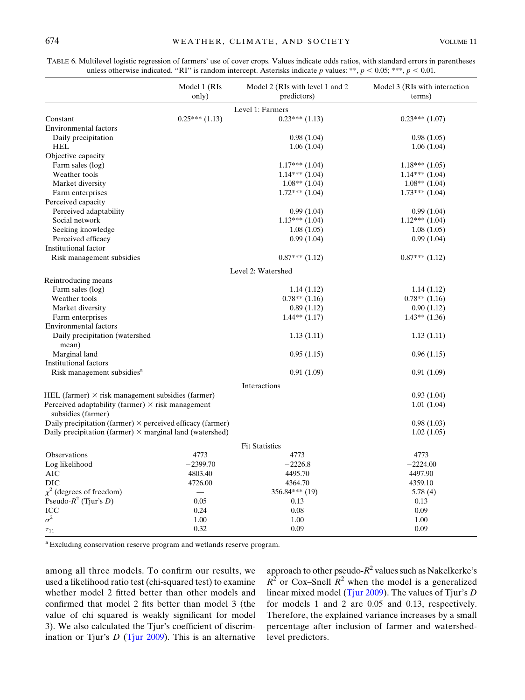<span id="page-9-0"></span>

| TABLE 6. Multilevel logistic regression of farmers' use of cover crops. Values indicate odds ratios, with standard errors in parentheses |  |
|------------------------------------------------------------------------------------------------------------------------------------------|--|
| unless otherwise indicated. "RI" is random intercept. Asterisks indicate p values: **, $p < 0.05$ ; **, $p < 0.01$ .                     |  |

|                                                                                | Model 1 (RIs<br>only)    | Model 2 (RIs with level 1 and 2)<br>predictors) | Model 3 (RIs with interaction<br>terms) |
|--------------------------------------------------------------------------------|--------------------------|-------------------------------------------------|-----------------------------------------|
|                                                                                |                          | Level 1: Farmers                                |                                         |
| Constant                                                                       | $0.25***(1.13)$          | $0.23***(1.13)$                                 | $0.23***(1.07)$                         |
| <b>Environmental factors</b>                                                   |                          |                                                 |                                         |
| Daily precipitation                                                            |                          | 0.98(1.04)                                      | 0.98(1.05)                              |
| <b>HEL</b>                                                                     |                          | 1.06(1.04)                                      | 1.06(1.04)                              |
| Objective capacity                                                             |                          |                                                 |                                         |
| Farm sales (log)                                                               |                          | $1.17***$ $(1.04)$                              | $1.18***(1.05)$                         |
| Weather tools                                                                  |                          | $1.14***(1.04)$                                 | $1.14***(1.04)$                         |
| Market diversity                                                               |                          | $1.08**$ (1.04)                                 | $1.08**$ (1.04)                         |
| Farm enterprises                                                               |                          | $1.72***(1.04)$                                 | $1.73***(1.04)$                         |
| Perceived capacity                                                             |                          |                                                 |                                         |
| Perceived adaptability                                                         |                          | 0.99(1.04)                                      | 0.99(1.04)                              |
| Social network                                                                 |                          | $1.13***(1.04)$                                 | $1.12***(1.04)$                         |
| Seeking knowledge                                                              |                          | 1.08(1.05)                                      | 1.08(1.05)                              |
| Perceived efficacy                                                             |                          | 0.99(1.04)                                      | 0.99(1.04)                              |
| Institutional factor<br>Risk management subsidies                              |                          | $0.87***(1.12)$                                 | $0.87***(1.12)$                         |
|                                                                                |                          | Level 2: Watershed                              |                                         |
| Reintroducing means                                                            |                          |                                                 |                                         |
| Farm sales (log)                                                               |                          | 1.14(1.12)                                      | 1.14(1.12)                              |
| Weather tools                                                                  |                          | $0.78**$ (1.16)                                 | $0.78**$ (1.16)                         |
| Market diversity                                                               |                          | 0.89(1.12)                                      | 0.90(1.12)                              |
| Farm enterprises                                                               |                          | $1.44**$ (1.17)                                 | $1.43**$ (1.36)                         |
| <b>Environmental factors</b>                                                   |                          |                                                 |                                         |
| Daily precipitation (watershed                                                 |                          | 1.13(1.11)                                      | 1.13(1.11)                              |
| mean)                                                                          |                          |                                                 |                                         |
| Marginal land                                                                  |                          | 0.95(1.15)                                      | 0.96(1.15)                              |
| <b>Institutional factors</b>                                                   |                          |                                                 |                                         |
| Risk management subsidies <sup>a</sup>                                         |                          | 0.91(1.09)                                      | 0.91(1.09)                              |
|                                                                                |                          | Interactions                                    |                                         |
| HEL (farmer) $\times$ risk management subsidies (farmer)                       |                          |                                                 | 0.93(1.04)                              |
| Perceived adaptability (farmer) $\times$ risk management<br>subsidies (farmer) |                          |                                                 | 1.01(1.04)                              |
| Daily precipitation (farmer) $\times$ perceived efficacy (farmer)              |                          |                                                 | 0.98(1.03)                              |
| Daily precipitation (farmer) $\times$ marginal land (watershed)                |                          |                                                 | 1.02(1.05)                              |
|                                                                                |                          | <b>Fit Statistics</b>                           |                                         |
| Observations                                                                   | 4773                     | 4773                                            | 4773                                    |
| Log likelihood                                                                 | $-2399.70$               | $-2226.8$                                       | $-2224.00$                              |
| AIC                                                                            | 4803.40                  | 4495.70                                         | 4497.90                                 |
| DIC                                                                            | 4726.00                  | 4364.70                                         | 4359.10                                 |
| $\chi^2$ (degrees of freedom)                                                  | $\overline{\phantom{0}}$ | 356.84*** (19)                                  | 5.78(4)                                 |
| Pseudo- $R^2$ (Tjur's D)                                                       | 0.05                     | 0.13                                            | 0.13                                    |
| ICC                                                                            | 0.24                     | 0.08                                            | 0.09                                    |
| $\sigma^2$                                                                     | 1.00                     | 1.00                                            | 1.00                                    |
| $\tau_{11}$                                                                    | 0.32                     | 0.09                                            | 0.09                                    |

<sup>a</sup> Excluding conservation reserve program and wetlands reserve program.

among all three models. To confirm our results, we used a likelihood ratio test (chi-squared test) to examine whether model 2 fitted better than other models and confirmed that model 2 fits better than model 3 (the value of chi squared is weakly significant for model 3). We also calculated the Tjur's coefficient of discrimination or Tjur's  $D$  ([Tjur 2009](#page-14-10)). This is an alternative

approach to other pseudo- $R^2$  values such as Nakelkerke's  $R^2$  or Cox–Snell  $R^2$  when the model is a generalized linear mixed model [\(Tjur 2009](#page-14-10)). The values of Tjur's D for models 1 and 2 are 0.05 and 0.13, respectively. Therefore, the explained variance increases by a small percentage after inclusion of farmer and watershedlevel predictors.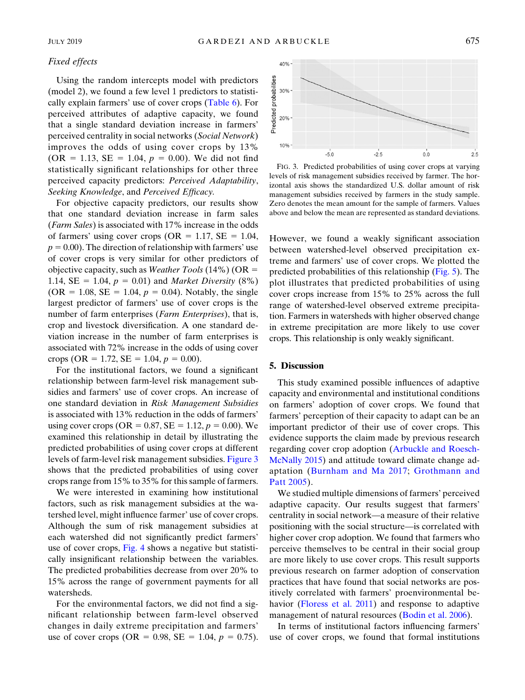## Fixed effects

Using the random intercepts model with predictors (model 2), we found a few level 1 predictors to statistically explain farmers' use of cover crops [\(Table 6\)](#page-9-0). For perceived attributes of adaptive capacity, we found that a single standard deviation increase in farmers' perceived centrality in social networks (Social Network) improves the odds of using cover crops by 13%  $(OR = 1.13, SE = 1.04, p = 0.00)$ . We did not find statistically significant relationships for other three perceived capacity predictors: Perceived Adaptability, Seeking Knowledge, and Perceived Efficacy.

For objective capacity predictors, our results show that one standard deviation increase in farm sales (Farm Sales) is associated with 17% increase in the odds of farmers' using cover crops (OR = 1.17, SE = 1.04,  $p = 0.00$ . The direction of relationship with farmers' use of cover crops is very similar for other predictors of objective capacity, such as *Weather Tools* (14%) (OR = 1.14,  $SE = 1.04$ ,  $p = 0.01$ ) and *Market Diversity* (8%) (OR = 1.08, SE = 1.04,  $p = 0.04$ ). Notably, the single largest predictor of farmers' use of cover crops is the number of farm enterprises (*Farm Enterprises*), that is, crop and livestock diversification. A one standard deviation increase in the number of farm enterprises is associated with 72% increase in the odds of using cover crops (OR = 1.72, SE = 1.04,  $p = 0.00$ ).

For the institutional factors, we found a significant relationship between farm-level risk management subsidies and farmers' use of cover crops. An increase of one standard deviation in Risk Management Subsidies is associated with 13% reduction in the odds of farmers' using cover crops (OR =  $0.87$ , SE = 1.12, p = 0.00). We examined this relationship in detail by illustrating the predicted probabilities of using cover crops at different levels of farm-level risk management subsidies. [Figure 3](#page-10-0) shows that the predicted probabilities of using cover crops range from 15% to 35% for this sample of farmers.

We were interested in examining how institutional factors, such as risk management subsidies at the watershed level, might influence farmer' use of cover crops. Although the sum of risk management subsidies at each watershed did not significantly predict farmers' use of cover crops, [Fig. 4](#page-11-0) shows a negative but statistically insignificant relationship between the variables. The predicted probabilities decrease from over 20% to 15% across the range of government payments for all watersheds.

For the environmental factors, we did not find a significant relationship between farm-level observed changes in daily extreme precipitation and farmers' use of cover crops (OR = 0.98, SE = 1.04,  $p = 0.75$ ).

<span id="page-10-0"></span>

FIG. 3. Predicted probabilities of using cover crops at varying levels of risk management subsidies received by farmer. The horizontal axis shows the standardized U.S. dollar amount of risk management subsidies received by farmers in the study sample. Zero denotes the mean amount for the sample of farmers. Values above and below the mean are represented as standard deviations.

However, we found a weakly significant association between watershed-level observed precipitation extreme and farmers' use of cover crops. We plotted the predicted probabilities of this relationship [\(Fig. 5](#page-11-1)). The plot illustrates that predicted probabilities of using cover crops increase from 15% to 25% across the full range of watershed-level observed extreme precipitation. Farmers in watersheds with higher observed change in extreme precipitation are more likely to use cover crops. This relationship is only weakly significant.

#### 5. Discussion

This study examined possible influences of adaptive capacity and environmental and institutional conditions on farmers' adoption of cover crops. We found that farmers' perception of their capacity to adapt can be an important predictor of their use of cover crops. This evidence supports the claim made by previous research regarding cover crop adoption [\(Arbuckle and Roesch-](#page-12-0)[McNally 2015](#page-12-0)) and attitude toward climate change adaptation ([Burnham and Ma 2017](#page-12-14); [Grothmann and](#page-13-9) [Patt 2005\)](#page-13-9).

We studied multiple dimensions of farmers' perceived adaptive capacity. Our results suggest that farmers' centrality in social network—a measure of their relative positioning with the social structure—is correlated with higher cover crop adoption. We found that farmers who perceive themselves to be central in their social group are more likely to use cover crops. This result supports previous research on farmer adoption of conservation practices that have found that social networks are positively correlated with farmers' proenvironmental behavior ([Floress et al. 2011](#page-13-27)) and response to adaptive management of natural resources ([Bodin et al. 2006](#page-12-15)).

In terms of institutional factors influencing farmers' use of cover crops, we found that formal institutions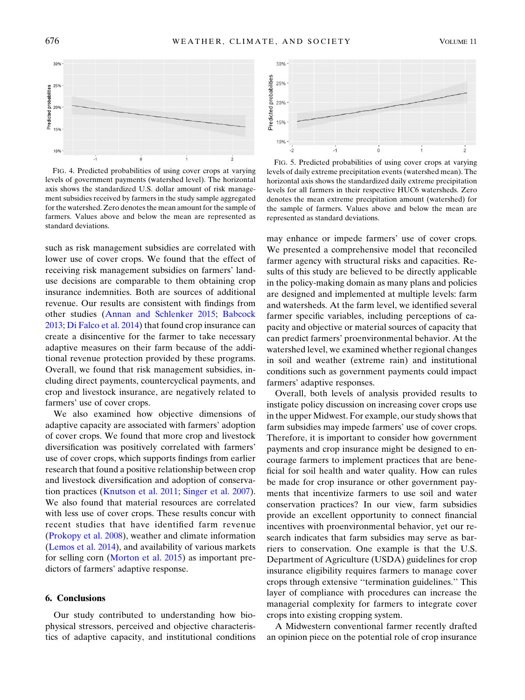<span id="page-11-0"></span>

FIG. 4. Predicted probabilities of using cover crops at varying levels of government payments (watershed level). The horizontal axis shows the standardized U.S. dollar amount of risk management subsidies received by farmers in the study sample aggregated for the watershed. Zero denotes the mean amount for the sample of farmers. Values above and below the mean are represented as standard deviations.

such as risk management subsidies are correlated with lower use of cover crops. We found that the effect of receiving risk management subsidies on farmers' landuse decisions are comparable to them obtaining crop insurance indemnities. Both are sources of additional revenue. Our results are consistent with findings from other studies [\(Annan and Schlenker 2015;](#page-12-12) [Babcock](#page-12-16) [2013;](#page-12-16) [Di Falco et al. 2014](#page-12-17)) that found crop insurance can create a disincentive for the farmer to take necessary adaptive measures on their farm because of the additional revenue protection provided by these programs. Overall, we found that risk management subsidies, including direct payments, countercyclical payments, and crop and livestock insurance, are negatively related to farmers' use of cover crops.

We also examined how objective dimensions of adaptive capacity are associated with farmers' adoption of cover crops. We found that more crop and livestock diversification was positively correlated with farmers' use of cover crops, which supports findings from earlier research that found a positive relationship between crop and livestock diversification and adoption of conservation practices [\(Knutson et al. 2011](#page-13-28); [Singer et al. 2007](#page-14-11)). We also found that material resources are correlated with less use of cover crops. These results concur with recent studies that have identified farm revenue ([Prokopy et al. 2008](#page-13-29)), weather and climate information ([Lemos et al. 2014\)](#page-13-30), and availability of various markets for selling corn ([Morton et al. 2015\)](#page-13-1) as important predictors of farmers' adaptive response.

## 6. Conclusions

Our study contributed to understanding how biophysical stressors, perceived and objective characteristics of adaptive capacity, and institutional conditions

<span id="page-11-1"></span>

FIG. 5. Predicted probabilities of using cover crops at varying levels of daily extreme precipitation events (watershed mean). The horizontal axis shows the standardized daily extreme precipitation levels for all farmers in their respective HUC6 watersheds. Zero denotes the mean extreme precipitation amount (watershed) for the sample of farmers. Values above and below the mean are represented as standard deviations.

may enhance or impede farmers' use of cover crops. We presented a comprehensive model that reconciled farmer agency with structural risks and capacities. Results of this study are believed to be directly applicable in the policy-making domain as many plans and policies are designed and implemented at multiple levels: farm and watersheds. At the farm level, we identified several farmer specific variables, including perceptions of capacity and objective or material sources of capacity that can predict farmers' proenvironmental behavior. At the watershed level, we examined whether regional changes in soil and weather (extreme rain) and institutional conditions such as government payments could impact farmers' adaptive responses.

Overall, both levels of analysis provided results to instigate policy discussion on increasing cover crops use in the upper Midwest. For example, our study shows that farm subsidies may impede farmers' use of cover crops. Therefore, it is important to consider how government payments and crop insurance might be designed to encourage farmers to implement practices that are beneficial for soil health and water quality. How can rules be made for crop insurance or other government payments that incentivize farmers to use soil and water conservation practices? In our view, farm subsidies provide an excellent opportunity to connect financial incentives with proenvironmental behavior, yet our research indicates that farm subsidies may serve as barriers to conservation. One example is that the U.S. Department of Agriculture (USDA) guidelines for crop insurance eligibility requires farmers to manage cover crops through extensive ''termination guidelines.'' This layer of compliance with procedures can increase the managerial complexity for farmers to integrate cover crops into existing cropping system.

A Midwestern conventional farmer recently drafted an opinion piece on the potential role of crop insurance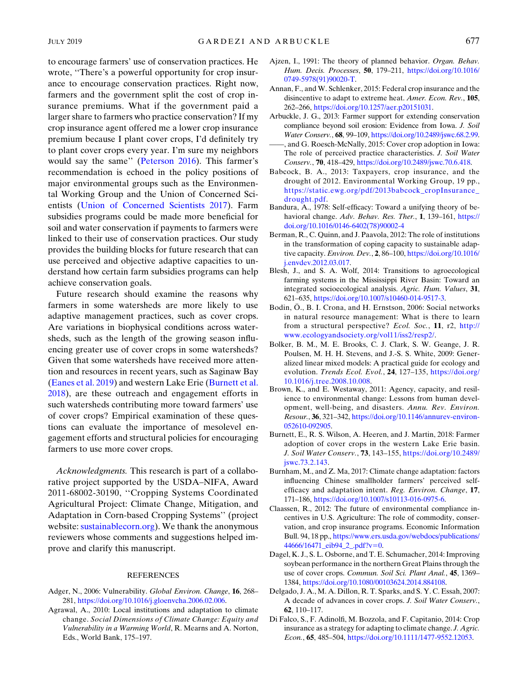to encourage farmers' use of conservation practices. He wrote, ''There's a powerful opportunity for crop insurance to encourage conservation practices. Right now, farmers and the government split the cost of crop insurance premiums. What if the government paid a larger share to farmers who practice conservation? If my crop insurance agent offered me a lower crop insurance premium because I plant cover crops, I'd definitely try to plant cover crops every year. I'm sure my neighbors would say the same'' ([Peterson 2016\)](#page-13-31). This farmer's recommendation is echoed in the policy positions of major environmental groups such as the Environmental Working Group and the Union of Concerned Scientists [\(Union of Concerned Scientists 2017](#page-14-12)). Farm subsidies programs could be made more beneficial for soil and water conservation if payments to farmers were linked to their use of conservation practices. Our study provides the building blocks for future research that can use perceived and objective adaptive capacities to understand how certain farm subsidies programs can help achieve conservation goals.

Future research should examine the reasons why farmers in some watersheds are more likely to use adaptive management practices, such as cover crops. Are variations in biophysical conditions across watersheds, such as the length of the growing season influencing greater use of cover crops in some watersheds? Given that some watersheds have received more attention and resources in recent years, such as Saginaw Bay [\(Eanes et al. 2019\)](#page-13-32) and western Lake Erie ([Burnett et al.](#page-12-1) [2018\)](#page-12-1), are these outreach and engagement efforts in such watersheds contributing more toward farmers' use of cover crops? Empirical examination of these questions can evaluate the importance of mesolevel engagement efforts and structural policies for encouraging farmers to use more cover crops.

Acknowledgments. This research is part of a collaborative project supported by the USDA–NIFA, Award 2011-68002-30190, ''Cropping Systems Coordinated Agricultural Project: Climate Change, Mitigation, and Adaptation in Corn-based Cropping Systems'' (project website: [sustainablecorn.org](http://sustainablecorn.org)). We thank the anonymous reviewers whose comments and suggestions helped improve and clarify this manuscript.

#### REFERENCES

- <span id="page-12-7"></span>Adger, N., 2006: Vulnerability. Global Environ. Change, 16, 268– 281, [https://doi.org/10.1016/j.gloenvcha.2006.02.006.](https://doi.org/10.1016/j.gloenvcha.2006.02.006)
- <span id="page-12-5"></span>Agrawal, A., 2010: Local institutions and adaptation to climate change. Social Dimensions of Climate Change: Equity and Vulnerability in a Warming World, R. Mearns and A. Norton, Eds., World Bank, 175–197.
- <span id="page-12-8"></span>Ajzen, I., 1991: The theory of planned behavior. Organ. Behav. Hum. Decis. Processes, 50, 179–211, [https://doi.org/10.1016/](https://doi.org/10.1016/0749-5978(91)90020-T) [0749-5978\(91\)90020-T](https://doi.org/10.1016/0749-5978(91)90020-T).
- <span id="page-12-12"></span>Annan, F., and W. Schlenker, 2015: Federal crop insurance and the disincentive to adapt to extreme heat. Amer. Econ. Rev., 105, 262–266, <https://doi.org/10.1257/aer.p20151031>.
- <span id="page-12-11"></span>Arbuckle, J. G., 2013: Farmer support for extending conservation compliance beyond soil erosion: Evidence from Iowa. J. Soil Water Conserv., 68, 99–109, <https://doi.org/10.2489/jswc.68.2.99>.
- <span id="page-12-0"></span>, and G. Roesch-McNally, 2015: Cover crop adoption in Iowa: The role of perceived practice characteristics. J. Soil Water Conserv., 70, 418–429, <https://doi.org/10.2489/jswc.70.6.418>.
- <span id="page-12-16"></span>Babcock, B. A., 2013: Taxpayers, crop insurance, and the drought of 2012. Environmental Working Group, 19 pp., [https://static.ewg.org/pdf/2013babcock\\_cropInsurance\\_](https://static.ewg.org/pdf/2013babcock_cropInsurance_drought.pdf) [drought.pdf](https://static.ewg.org/pdf/2013babcock_cropInsurance_drought.pdf).
- <span id="page-12-9"></span>Bandura, A., 1978: Self-efficacy: Toward a unifying theory of behavioral change. Adv. Behav. Res. Ther., 1, 139-161, [https://](https://doi.org/10.1016/0146-6402(78)90002-4) [doi.org/10.1016/0146-6402\(78\)90002-4](https://doi.org/10.1016/0146-6402(78)90002-4)
- <span id="page-12-6"></span>Berman, R., C. Quinn, and J. Paavola, 2012: The role of institutions in the transformation of coping capacity to sustainable adaptive capacity. Environ. Dev., 2, 86–100, [https://doi.org/10.1016/](https://doi.org/10.1016/j.envdev.2012.03.017) [j.envdev.2012.03.017](https://doi.org/10.1016/j.envdev.2012.03.017).
- <span id="page-12-10"></span>Blesh, J., and S. A. Wolf, 2014: Transitions to agroecological farming systems in the Mississippi River Basin: Toward an integrated socioecological analysis. Agric. Hum. Values, 31, 621–635, [https://doi.org/10.1007/s10460-014-9517-3.](https://doi.org/10.1007/s10460-014-9517-3)
- <span id="page-12-15"></span>Bodin, Ö., B. I. Crona, and H. Ernstson, 2006: Social networks in natural resource management: What is there to learn from a structural perspective? Ecol. Soc., 11, r2, [http://](http://www.ecologyandsociety.org/vol11/iss2/resp2/) [www.ecologyandsociety.org/vol11/iss2/resp2/](http://www.ecologyandsociety.org/vol11/iss2/resp2/).
- <span id="page-12-13"></span>Bolker, B. M., M. E. Brooks, C. J. Clark, S. W. Geange, J. R. Poulsen, M. H. H. Stevens, and J.-S. S. White, 2009: Generalized linear mixed models: A practical guide for ecology and evolution. Trends Ecol. Evol., 24, 127–135, [https://doi.org/](https://doi.org/10.1016/j.tree.2008.10.008) [10.1016/j.tree.2008.10.008.](https://doi.org/10.1016/j.tree.2008.10.008)
- <span id="page-12-4"></span>Brown, K., and E. Westaway, 2011: Agency, capacity, and resilience to environmental change: Lessons from human development, well-being, and disasters. Annu. Rev. Environ. Resour., 36, 321–342, [https://doi.org/10.1146/annurev-environ-](https://doi.org/10.1146/annurev-environ-052610-092905)[052610-092905](https://doi.org/10.1146/annurev-environ-052610-092905).
- <span id="page-12-1"></span>Burnett, E., R. S. Wilson, A. Heeren, and J. Martin, 2018: Farmer adoption of cover crops in the western Lake Erie basin. J. Soil Water Conserv., 73, 143–155, [https://doi.org/10.2489/](https://doi.org/10.2489/jswc.73.2.143) [jswc.73.2.143.](https://doi.org/10.2489/jswc.73.2.143)
- <span id="page-12-14"></span>Burnham, M., and Z. Ma, 2017: Climate change adaptation: factors influencing Chinese smallholder farmers' perceived selfefficacy and adaptation intent. Reg. Environ. Change, 17, 171–186, [https://doi.org/10.1007/s10113-016-0975-6.](https://doi.org/10.1007/s10113-016-0975-6)
- Claassen, R., 2012: The future of environmental compliance incentives in U.S. Agriculture: The role of commodity, conservation, and crop insurance programs. Economic Information Bull. 94, 18 pp., [https://www.ers.usda.gov/webdocs/publications/](https://www.ers.usda.gov/webdocs/publications/44666/16471_eib94_2_.pdf?v=0) [44666/16471\\_eib94\\_2\\_.pdf?v](https://www.ers.usda.gov/webdocs/publications/44666/16471_eib94_2_.pdf?v=0)=0.
- <span id="page-12-3"></span>Dagel, K. J., S. L. Osborne, and T. E. Schumacher, 2014: Improving soybean performance in the northern Great Plains through the use of cover crops. Commun. Soil Sci. Plant Anal., 45, 1369-1384, [https://doi.org/10.1080/00103624.2014.884108.](https://doi.org/10.1080/00103624.2014.884108)
- <span id="page-12-2"></span>Delgado, J. A., M. A. Dillon, R. T. Sparks, and S. Y. C. Essah, 2007: A decade of advances in cover crops. J. Soil Water Conserv., 62, 110–117.
- <span id="page-12-17"></span>Di Falco, S., F. Adinolfi, M. Bozzola, and F. Capitanio, 2014: Crop insurance as a strategy for adapting to climate change. J. Agric. Econ., 65, 485–504, [https://doi.org/10.1111/1477-9552.12053.](https://doi.org/10.1111/1477-9552.12053)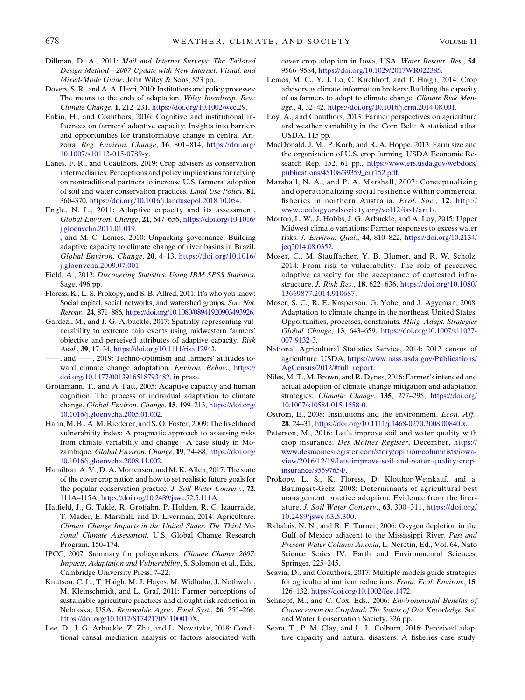- <span id="page-13-20"></span>Dillman, D. A., 2011: Mail and Internet Surveys: The Tailored Design Method—2007 Update with New Internet, Visual, and Mixed-Mode Guide. John Wiley & Sons, 523 pp.
- <span id="page-13-14"></span>Dovers, S. R., and A. A. Hezri, 2010: Institutions and policy processes: The means to the ends of adaptation. Wiley Interdiscip. Rev.: Climate Change, 1, 212–231, <https://doi.org/10.1002/wcc.29>.
- <span id="page-13-15"></span>Eakin, H., and Coauthors, 2016: Cognitive and institutional influences on farmers' adaptive capacity: Insights into barriers and opportunities for transformative change in central Arizona. Reg. Environ. Change, 16, 801-814, [https://doi.org/](https://doi.org/10.1007/s10113-015-0789-y) [10.1007/s10113-015-0789-y.](https://doi.org/10.1007/s10113-015-0789-y)
- <span id="page-13-32"></span>Eanes, F. R., and Coauthors, 2019: Crop advisers as conservation intermediaries: Perceptions and policy implications for relying on nontraditional partners to increase U.S. farmers' adoption of soil and water conservation practices. Land Use Policy, 81, 360–370, [https://doi.org/10.1016/j.landusepol.2018.10.054.](https://doi.org/10.1016/j.landusepol.2018.10.054)
- <span id="page-13-13"></span>Engle, N. L., 2011: Adaptive capacity and its assessment. Global Environ. Change, 21, 647–656, [https://doi.org/10.1016/](https://doi.org/10.1016/j.gloenvcha.2011.01.019) [j.gloenvcha.2011.01.019.](https://doi.org/10.1016/j.gloenvcha.2011.01.019)
- <span id="page-13-7"></span>——, and M. C. Lemos, 2010: Unpacking governance: Building adaptive capacity to climate change of river basins in Brazil. Global Environ. Change, 20, 4–13, [https://doi.org/10.1016/](https://doi.org/10.1016/j.gloenvcha.2009.07.001) [j.gloenvcha.2009.07.001](https://doi.org/10.1016/j.gloenvcha.2009.07.001).
- <span id="page-13-26"></span>Field, A., 2013: Discovering Statistics: Using IBM SPSS Statistics. Sage, 496 pp.
- <span id="page-13-27"></span>Floress, K., L. S. Prokopy, and S. B. Allred, 2011: It's who you know: Social capital, social networks, and watershed groups. Soc. Nat. Resour., 24, 871–886, <https://doi.org/10.1080/08941920903493926>.
- <span id="page-13-8"></span>Gardezi, M., and J. G. Arbuckle, 2017: Spatially representing vulnerability to extreme rain events using midwestern farmers' objective and perceived attributes of adaptive capacity. Risk Anal., 39, 17–34, [https://doi.org/10.1111/risa.12943.](https://doi.org/10.1111/risa.12943)
- <span id="page-13-12"></span>——, and ——, 2019: Techno-optimism and farmers' attitudes toward climate change adaptation. Environ. Behav., [https://](https://doi.org/10.1177/0013916518793482) [doi.org/10.1177/0013916518793482](https://doi.org/10.1177/0013916518793482), in press.
- <span id="page-13-9"></span>Grothmann, T., and A. Patt, 2005: Adaptive capacity and human cognition: The process of individual adaptation to climate change. Global Environ. Change, 15, 199-213, [https://doi.org/](https://doi.org/10.1016/j.gloenvcha.2005.01.002) [10.1016/j.gloenvcha.2005.01.002.](https://doi.org/10.1016/j.gloenvcha.2005.01.002)
- <span id="page-13-23"></span>Hahn, M. B., A. M. Riederer, and S. O. Foster, 2009: The livelihood vulnerability index: A pragmatic approach to assessing risks from climate variability and change—A case study in Mozambique. Global Environ. Change, 19, 74-88, [https://doi.org/](https://doi.org/10.1016/j.gloenvcha.2008.11.002) [10.1016/j.gloenvcha.2008.11.002.](https://doi.org/10.1016/j.gloenvcha.2008.11.002)
- <span id="page-13-21"></span>Hamilton, A. V., D. A. Mortensen, and M. K. Allen, 2017: The state of the cover crop nation and how to set realistic future goals for the popular conservation practice. J. Soil Water Conserv., 72, 111A–115A, [https://doi.org/10.2489/jswc.72.5.111A.](https://doi.org/10.2489/jswc.72.5.111A)
- <span id="page-13-0"></span>Hatfield, J., G. Takle, R. Grotjahn, P. Holden, R. C. Izaurralde, T. Mader, E. Marshall, and D. Liverman, 2014: Agriculture. Climate Change Impacts in the United States: The Third National Climate Assessment, U.S. Global Change Research Program, 150–174.
- <span id="page-13-6"></span>IPCC, 2007: Summary for policymakers. Climate Change 2007: Impacts, Adaptation and Vulnerability, S. Solomon et al., Eds., Cambridge University Press, 7–22.
- <span id="page-13-28"></span>Knutson, C. L., T. Haigh, M. J. Hayes, M. Widhalm, J. Nothwehr, M. Kleinschmidt, and L. Graf, 2011: Farmer perceptions of sustainable agriculture practices and drought risk reduction in Nebraska, USA. Renewable Agric. Food Syst., 26, 255–266, <https://doi.org/10.1017/S174217051100010X>.
- <span id="page-13-5"></span>Lee, D., J. G. Arbuckle, Z. Zhu, and L. Nowatzke, 2018: Conditional causal mediation analysis of factors associated with

cover crop adoption in Iowa, USA. Water Resour. Res., 54, 9566–9584, <https://doi.org/10.1029/2017WR022385>.

- <span id="page-13-30"></span>Lemos, M. C., Y. J. Lo, C. Kirchhoff, and T. Haigh, 2014: Crop advisors as climate information brokers: Building the capacity of us farmers to adapt to climate change. Climate Risk Manage., 4, 32–42, <https://doi.org/10.1016/j.crm.2014.08.001>.
- <span id="page-13-25"></span>Loy, A., and Coauthors, 2013: Farmer perspectives on agriculture and weather variability in the Corn Belt: A statistical atlas. USDA, 115 pp.
- <span id="page-13-24"></span>MacDonald, J. M., P. Korb, and R. A. Hoppe, 2013: Farm size and the organization of U.S. crop farming. USDA Economic Research Rep. 152, 61 pp., [https://www.ers.usda.gov/webdocs/](https://www.ers.usda.gov/webdocs/publications/45108/39359_err152.pdf) [publications/45108/39359\\_err152.pdf.](https://www.ers.usda.gov/webdocs/publications/45108/39359_err152.pdf)
- <span id="page-13-18"></span>Marshall, N. A., and P. A. Marshall, 2007: Conceptualizing and operationalizing social resilience within commercial fisheries in northern Australia. Ecol. Soc., 12, [http://](http://www.ecologyandsociety.org/vol12/iss1/art1/) [www.ecologyandsociety.org/vol12/iss1/art1/.](http://www.ecologyandsociety.org/vol12/iss1/art1/)
- <span id="page-13-1"></span>Morton, L. W., J. Hobbs, J. G. Arbuckle, and A. Loy, 2015: Upper Midwest climate variations: Farmer responses to excess water risks. J. Environ. Qual., 44, 810–822, [https://doi.org/10.2134/](https://doi.org/10.2134/jeq2014.08.0352) [jeq2014.08.0352](https://doi.org/10.2134/jeq2014.08.0352).
- <span id="page-13-10"></span>Moser, C., M. Stauffacher, Y. B. Blumer, and R. W. Scholz, 2014: From risk to vulnerability: The role of perceived adaptive capacity for the acceptance of contested infrastructure. J. Risk Res., 18, 622–636, [https://doi.org/10.1080/](https://doi.org/10.1080/13669877.2014.910687) [13669877.2014.910687](https://doi.org/10.1080/13669877.2014.910687).
- <span id="page-13-16"></span>Moser, S. C., R. E. Kasperson, G. Yohe, and J. Agyeman, 2008: Adaptation to climate change in the northeast United States: Opportunities, processes, constraints. Mitig. Adapt. Strategies Global Change, 13, 643–659, [https://doi.org/10.1007/s11027-](https://doi.org/10.1007/s11027-007-9132-3) [007-9132-3](https://doi.org/10.1007/s11027-007-9132-3).
- <span id="page-13-22"></span>National Agricultural Statistics Service, 2014: 2012 census of agriculture. USDA, [https://www.nass.usda.gov/Publications/](https://www.nass.usda.gov/Publications/AgCensus/2012/#full_report) [AgCensus/2012/#full\\_report](https://www.nass.usda.gov/Publications/AgCensus/2012/#full_report).
- <span id="page-13-17"></span>Niles, M. T., M. Brown, and R. Dynes, 2016: Farmer's intended and actual adoption of climate change mitigation and adaptation strategies. Climatic Change, 135, 277-295, [https://doi.org/](https://doi.org/10.1007/s10584-015-1558-0) [10.1007/s10584-015-1558-0.](https://doi.org/10.1007/s10584-015-1558-0)
- <span id="page-13-19"></span>Ostrom, E., 2008: Institutions and the environment. Econ. Aff., 28, 24–31, [https://doi.org/10.1111/j.1468-0270.2008.00840.x.](https://doi.org/10.1111/j.1468-0270.2008.00840.x)
- <span id="page-13-31"></span>Peterson, M., 2016: Let's improve soil and water quality with crop insurance. Des Moines Register, December, [https://](https://www.desmoinesregister.com/story/opinion/columnists/iowa-view/2016/12/19/lets-improve-soil-and-water-quality-crop-insurance/95597654/) [www.desmoinesregister.com/story/opinion/columnists/iowa](https://www.desmoinesregister.com/story/opinion/columnists/iowa-view/2016/12/19/lets-improve-soil-and-water-quality-crop-insurance/95597654/)[view/2016/12/19/lets-improve-soil-and-water-quality-crop](https://www.desmoinesregister.com/story/opinion/columnists/iowa-view/2016/12/19/lets-improve-soil-and-water-quality-crop-insurance/95597654/)[insurance/95597654/](https://www.desmoinesregister.com/story/opinion/columnists/iowa-view/2016/12/19/lets-improve-soil-and-water-quality-crop-insurance/95597654/).
- <span id="page-13-29"></span>Prokopy, L. S., K. Floress, D. Klotthor-Weinkauf, and a. Baumgart-Getz, 2008: Determinants of agricultural best management practice adoption: Evidence from the literature. J. Soil Water Conserv., 63, 300–311, [https://doi.org/](https://doi.org/10.2489/jswc.63.5.300) [10.2489/jswc.63.5.300.](https://doi.org/10.2489/jswc.63.5.300)
- <span id="page-13-3"></span>Rabalais, N. N., and R. E. Turner, 2006: Oxygen depletion in the Gulf of Mexico adjacent to the Mississippi River. Past and Present Water Column Anoxia, L. Neretin, Ed., Vol. 64, Nato Science Series IV: Earth and Environmental Sciences, Springer, 225–245.
- <span id="page-13-4"></span>Scavia, D., and Coauthors, 2017: Multiple models guide strategies for agricultural nutrient reductions. Front. Ecol. Environ., 15, 126–132, [https://doi.org/10.1002/fee.1472.](https://doi.org/10.1002/fee.1472)
- <span id="page-13-2"></span>Schnepf, M., and C. Cox, Eds., 2006: Environmental Benefits of Conservation on Cropland: The Status of Our Knowledge. Soil and Water Conservation Society, 326 pp.
- <span id="page-13-11"></span>Seara, T., P. M. Clay, and L. L. Colburn, 2016: Perceived adaptive capacity and natural disasters: A fisheries case study.